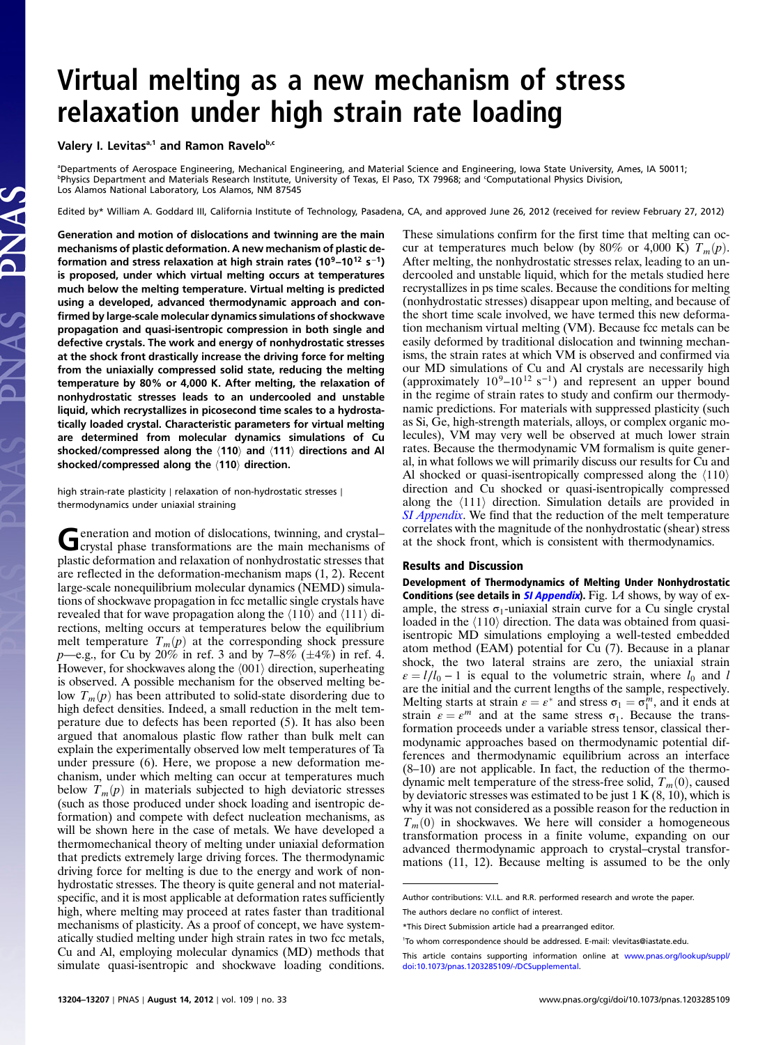## Virtual melting as a new mechanism of stress relaxation under high strain rate loading

Valery I. Levitas<sup>a,1</sup> and Ramon Ravelob,c

a Departments of Aerospace Engineering, Mechanical Engineering, and Material Science and Engineering, Iowa State University, Ames, IA 50011; b Physics Department and Materials Research Institute, University of Texas, El Paso, TX 79968; and <sup>c</sup> Computational Physics Division, Los Alamos National Laboratory, Los Alamos, NM 87545

Edited by\* William A. Goddard III, California Institute of Technology, Pasadena, CA, and approved June 26, 2012 (received for review February 27, 2012)

Generation and motion of dislocations and twinning are the main mechanisms of plastic deformation. A new mechanism of plastic deformation and stress relaxation at high strain rates (10<sup>9</sup>–10<sup>12</sup> s<sup>-1</sup>) is proposed, under which virtual melting occurs at temperatures much below the melting temperature. Virtual melting is predicted using a developed, advanced thermodynamic approach and confirmed by large-scale molecular dynamics simulations of shockwave propagation and quasi-isentropic compression in both single and defective crystals. The work and energy of nonhydrostatic stresses at the shock front drastically increase the driving force for melting from the uniaxially compressed solid state, reducing the melting temperature by 80% or 4,000 K. After melting, the relaxation of nonhydrostatic stresses leads to an undercooled and unstable liquid, which recrystallizes in picosecond time scales to a hydrostatically loaded crystal. Characteristic parameters for virtual melting are determined from molecular dynamics simulations of Cu shocked/compressed along the  $\langle 110 \rangle$  and  $\langle 111 \rangle$  directions and Al shocked/compressed along the  $\langle 110 \rangle$  direction.

high strain-rate plasticity ∣ relaxation of non-hydrostatic stresses ∣ thermodynamics under uniaxial straining

Generation and motion of dislocations, twinning, and crystal–<br>crystal phase transformations are the main mechanisms of plastic deformation and relaxation of nonhydrostatic stresses that are reflected in the deformation-mechanism maps (1, 2). Recent large-scale nonequilibrium molecular dynamics (NEMD) simulations of shockwave propagation in fcc metallic single crystals have revealed that for wave propagation along the  $\langle 110 \rangle$  and  $\langle 111 \rangle$  directions, melting occurs at temperatures below the equilibrium melt temperature  $T_m(p)$  at the corresponding shock pressure  $p$ —e.g., for Cu by 20% in ref. 3 and by 7–8% ( $\pm$ 4%) in ref. 4. However, for shockwaves along the  $\langle 001 \rangle$  direction, superheating is observed. A possible mechanism for the observed melting below  $T_m(p)$  has been attributed to solid-state disordering due to high defect densities. Indeed, a small reduction in the melt temperature due to defects has been reported (5). It has also been argued that anomalous plastic flow rather than bulk melt can explain the experimentally observed low melt temperatures of Ta under pressure (6). Here, we propose a new deformation mechanism, under which melting can occur at temperatures much below  $T_m(p)$  in materials subjected to high deviatoric stresses (such as those produced under shock loading and isentropic deformation) and compete with defect nucleation mechanisms, as will be shown here in the case of metals. We have developed a thermomechanical theory of melting under uniaxial deformation that predicts extremely large driving forces. The thermodynamic driving force for melting is due to the energy and work of nonhydrostatic stresses. The theory is quite general and not materialspecific, and it is most applicable at deformation rates sufficiently high, where melting may proceed at rates faster than traditional mechanisms of plasticity. As a proof of concept, we have systematically studied melting under high strain rates in two fcc metals, Cu and Al, employing molecular dynamics (MD) methods that simulate quasi-isentropic and shockwave loading conditions.

These simulations confirm for the first time that melting can occur at temperatures much below (by 80% or 4,000 K)  $T_m(p)$ . After melting, the nonhydrostatic stresses relax, leading to an undercooled and unstable liquid, which for the metals studied here recrystallizes in ps time scales. Because the conditions for melting (nonhydrostatic stresses) disappear upon melting, and because of the short time scale involved, we have termed this new deformation mechanism virtual melting (VM). Because fcc metals can be easily deformed by traditional dislocation and twinning mechanisms, the strain rates at which VM is observed and confirmed via our MD simulations of Cu and Al crystals are necessarily high (approximately  $10^9$ – $10^{12}$  s<sup>-1</sup>) and represent an upper bound in the regime of strain rates to study and confirm our thermodynamic predictions. For materials with suppressed plasticity (such as Si, Ge, high-strength materials, alloys, or complex organic molecules), VM may very well be observed at much lower strain rates. Because the thermodynamic VM formalism is quite general, in what follows we will primarily discuss our results for Cu and Al shocked or quasi-isentropically compressed along the  $\langle 110 \rangle$ direction and Cu shocked or quasi-isentropically compressed along the  $\langle 111 \rangle$  direction. Simulation details are provided in [SI Appendix](http://www.pnas.org/lookup/suppl/doi:10.1073/pnas.1203285109/-/DCSupplemental/Appendix.pdf). We find that the reduction of the melt temperature correlates with the magnitude of the nonhydrostatic (shear) stress at the shock front, which is consistent with thermodynamics.

## Results and Discussion

Development of Thermodynamics of Melting Under Nonhydrostatic Conditions (see details in  $SI$  [Appendix](http://www.pnas.org/lookup/suppl/doi:10.1073/pnas.1203285109/-/DCSupplemental/Appendix.pdf)). Fig. 1A shows, by way of example, the stress  $\sigma_1$ -uniaxial strain curve for a Cu single crystal loaded in the  $\langle 110 \rangle$  direction. The data was obtained from quasiisentropic MD simulations employing a well-tested embedded atom method (EAM) potential for Cu (7). Because in a planar shock, the two lateral strains are zero, the uniaxial strain  $\varepsilon = l/l_0 - 1$  is equal to the volumetric strain, where  $l_0$  and l are the initial and the current lengths of the sample, respectively. Melting starts at strain  $\varepsilon = \varepsilon^*$  and stress  $\sigma_1 = \sigma_1^m$ , and it ends at strain  $\varepsilon = \varepsilon^m$  and at the same stress  $\sigma_1$ . Because the transstrain  $\varepsilon = \varepsilon^m$  and at the same stress  $\sigma_1$ . Because the transformation proceeds under a variable stress tensor, classical thermodynamic approaches based on thermodynamic potential differences and thermodynamic equilibrium across an interface (8–10) are not applicable. In fact, the reduction of the thermodynamic melt temperature of the stress-free solid,  $T_m(0)$ , caused by deviatoric stresses was estimated to be just  $1 K (8, 10)$ , which is why it was not considered as a possible reason for the reduction in  $T_m(0)$  in shockwaves. We here will consider a homogeneous transformation process in a finite volume, expanding on our advanced thermodynamic approach to crystal–crystal transformations (11, 12). Because melting is assumed to be the only

Author contributions: V.I.L. and R.R. performed research and wrote the paper.

The authors declare no conflict of interest.

<sup>\*</sup>This Direct Submission article had a prearranged editor.

<sup>1</sup> To whom correspondence should be addressed. E-mail: vlevitas@iastate.edu.

This article contains supporting information online at [www.pnas.org/lookup/suppl/](http://www.pnas.org/lookup/suppl/doi:10.1073/pnas.1203285109/-/DCSupplemental) [doi:10.1073/pnas.1203285109/-/DCSupplemental.](http://www.pnas.org/lookup/suppl/doi:10.1073/pnas.1203285109/-/DCSupplemental)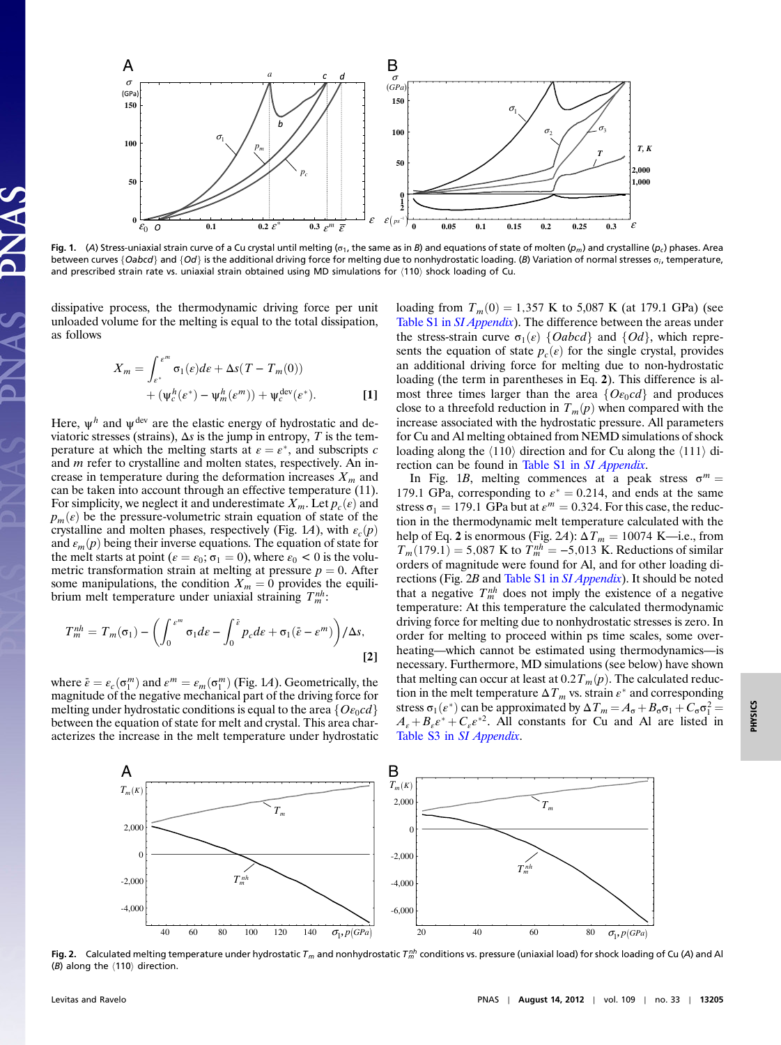

Fig. 1. (A) Stress-uniaxial strain curve of a Cu crystal until melting ( $\sigma_1$ , the same as in B) and equations of state of molten ( $p_m$ ) and crystalline ( $p_c$ ) phases. Area between curves {Oabcd} and {Od} is the additional driving force for melting due to nonhydrostatic loading. (B) Variation of normal stresses  $\sigma_i$ , temperature, and prescribed strain rate vs. uniaxial strain obtained using MD simulations for  $(110)$  shock loading of Cu.

dissipative process, the thermodynamic driving force per unit unloaded volume for the melting is equal to the total dissipation, as follows

$$
X_m = \int_{\varepsilon^*}^{\varepsilon^m} \sigma_1(\varepsilon) d\varepsilon + \Delta s (T - T_m(0))
$$
  
+ 
$$
(\psi_{\varepsilon}^h(\varepsilon^*) - \psi_m^h(\varepsilon^m)) + \psi_{\varepsilon}^{\text{dev}}(\varepsilon^*).
$$
 [1]

Here,  $\psi^h$  and  $\psi^{\text{dev}}$  are the elastic energy of hydrostatic and deviatoric stresses (strains),  $\Delta s$  is the jump in entropy, T is the temperature at which the melting starts at  $\varepsilon = \varepsilon^*$ , and subscripts c<br>and m refer to crystalline and molten states, respectively. An inand m refer to crystalline and molten states, respectively. An increase in temperature during the deformation increases  $X_m$  and can be taken into account through an effective temperature (11). For simplicity, we neglect it and underestimate  $X_m$ . Let  $p_c(\varepsilon)$  and  $p_m(\varepsilon)$  be the pressure-volumetric strain equation of state of the crystalline and molten phases, respectively (Fig. 1A), with  $\varepsilon_c(p)$ and  $\varepsilon_m(p)$  being their inverse equations. The equation of state for the melt starts at point ( $\varepsilon = \varepsilon_0$ ;  $\sigma_1 = 0$ ), where  $\varepsilon_0 < 0$  is the volumetric transformation strain at melting at pressure  $p = 0$ . After some manipulations, the condition  $X_m = 0$  provides the equilibrium melt temperature under uniaxial straining  $T_m^{nh}$ :

$$
T_m^{nh} = T_m(\sigma_1) - \left( \int_0^{\varepsilon^m} \sigma_1 d\varepsilon - \int_0^{\tilde{\varepsilon}} p_c d\varepsilon + \sigma_1 (\tilde{\varepsilon} - \varepsilon^m) \right) / \Delta s,
$$
\n[2]

where  $\bar{\varepsilon} = \varepsilon_c(\sigma_1^m)$  and  $\varepsilon^m = \varepsilon_m(\sigma_1^m)$  (Fig. 1A). Geometrically, the magnitude of the negative mechanical part of the driving force for magnitude of the negative mechanical part of the driving force for melting under hydrostatic conditions is equal to the area  $\{O \epsilon_0 c d\}$ between the equation of state for melt and crystal. This area characterizes the increase in the melt temperature under hydrostatic loading from  $T_m(0) = 1,357 \text{ K}$  to 5,087 K (at 179.1 GPa) (see [Table S1 in](http://www.pnas.org/lookup/suppl/doi:10.1073/pnas.1203285109/-/DCSupplemental/Appendix.pdf) *SI Appendix*). The difference between the areas under the stress-strain curve  $\sigma_1(\varepsilon)$  {Oabcd} and {Od}, which represents the equation of state  $p_c(\varepsilon)$  for the single crystal, provides an additional driving force for melting due to non-hydrostatic loading (the term in parentheses in Eq. 2). This difference is almost three times larger than the area  $\{O \epsilon_0 c d\}$  and produces close to a threefold reduction in  $T_m(p)$  when compared with the increase associated with the hydrostatic pressure. All parameters for Cu and Al melting obtained from NEMD simulations of shock loading along the  $\langle 110 \rangle$  direction and for Cu along the  $\langle 111 \rangle$  di-rection can be found in [Table S1 in](http://www.pnas.org/lookup/suppl/doi:10.1073/pnas.1203285109/-/DCSupplemental/Appendix.pdf) SI Appendix.

In Fig. 1B, melting commences at a peak stress  $\sigma^m =$ 179.1 GPa, corresponding to  $\varepsilon^* = 0.214$ , and ends at the same<br>stress  $\sigma_1 = 179.1$  GPa but at  $\varepsilon^m = 0.324$ . For this case, the reducstress  $\sigma_1 = 179.1$  GPa but at  $\varepsilon^m = 0.324$ . For this case, the reduction in the thermodynamic melt temperature calculated with the help of Eq. 2 is enormous (Fig. 2A):  $\Delta T_m = 10074$  K—i.e., from  $T_m(179.1) = 5,087$  K to  $T_m^{nh} = -5,013$  K. Reductions of similar orders of magnitude were found for Al, and for other loading diorders of magnitude were found for Al, and for other loading directions (Fig. 2B and [Table S1 in](http://www.pnas.org/lookup/suppl/doi:10.1073/pnas.1203285109/-/DCSupplemental/Appendix.pdf) SI Appendix). It should be noted that a negative  $T_m^{nh}$  does not imply the existence of a negative temperature: At this temperature the calculated thermodynamic driving force for melting due to nonhydrostatic stresses is zero. In order for melting to proceed within ps time scales, some overheating—which cannot be estimated using thermodynamics—is necessary. Furthermore, MD simulations (see below) have shown that melting can occur at least at  $0.2T_m(p)$ . The calculated reduction in the melt temperature  $\Delta T_m$  vs. strain  $\varepsilon^*$  and corresponding stress  $\sigma_1(e^*)$  can be approximated by  $\Delta T_m = A_\sigma + B_\sigma \sigma_1 + C_\sigma \sigma_1^2$ <br>  $A + B e^* + C e^{*2}$  All constants for Cu and Al are listed sites  $\sigma_1(\varepsilon)$  can be approximated by  $\Delta T_m - A_6 + B_6 \sigma_1 + C_6 \sigma_1 - A_\varepsilon + B_\varepsilon \varepsilon^* + C_\varepsilon \varepsilon^{*2}$ . All constants for Cu and Al are listed in Table S3 in SI Appendix [Table S3 in](http://www.pnas.org/lookup/suppl/doi:10.1073/pnas.1203285109/-/DCSupplemental/Appendix.pdf) SI Appendix.



**Fig. 2.** Calculated melting temperature under hydrostatic T<sub>m</sub> and nonhydrostatic T<sup>m</sup> conditions vs. pressure (uniaxial load) for shock loading of Cu (A) and Al (B) along the  $\langle 110 \rangle$  direction.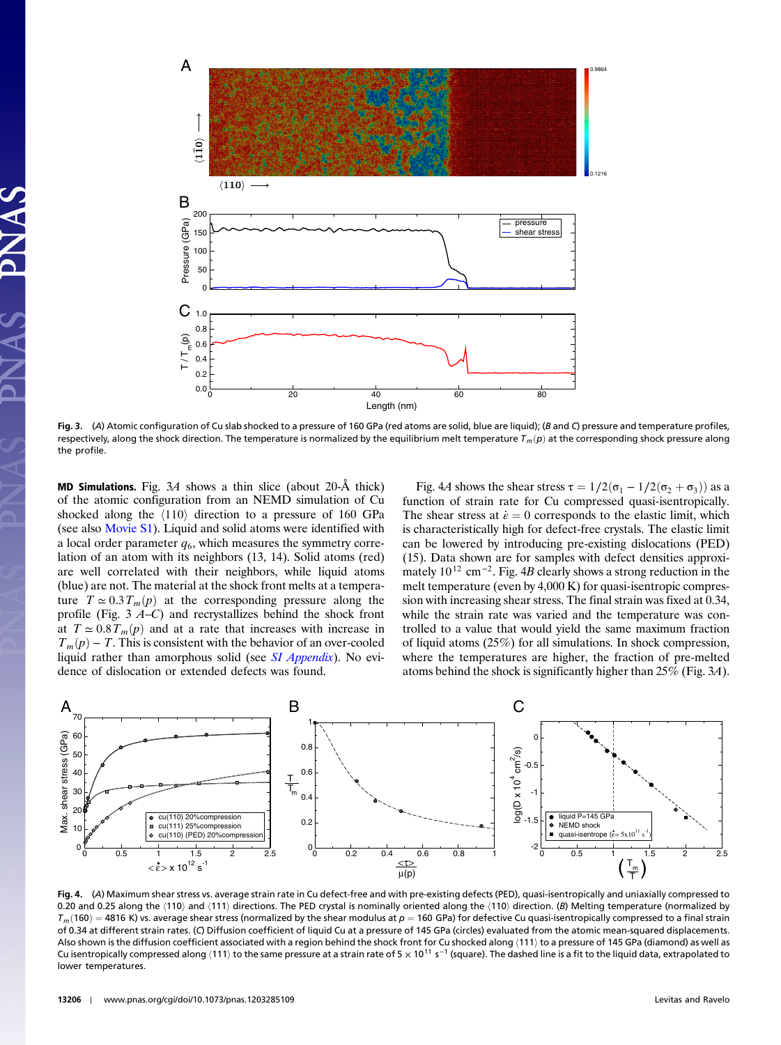

Fig. 3. (A) Atomic configuration of Cu slab shocked to a pressure of 160 GPa (red atoms are solid, blue are liquid); (B and C) pressure and temperature profiles, respectively, along the shock direction. The temperature is normalized by the equilibrium melt temperature  $T_m(p)$  at the corresponding shock pressure along the profile.

**MD Simulations.** Fig.  $3A$  shows a thin slice (about 20- $\AA$  thick) of the atomic configuration from an NEMD simulation of Cu shocked along the  $\langle 110 \rangle$  direction to a pressure of 160 GPa (see also [Movie S1\)](http://www.pnas.org/lookup/suppl/doi:10.1073/pnas.1203285109/-/DCSupplemental/pnas.1203285109_SI.pdf?targetid=SM1). Liquid and solid atoms were identified with a local order parameter  $q_6$ , which measures the symmetry correlation of an atom with its neighbors (13, 14). Solid atoms (red) are well correlated with their neighbors, while liquid atoms (blue) are not. The material at the shock front melts at a temperature  $T \approx 0.3 T_m(p)$  at the corresponding pressure along the profile (Fig. 3 <sup>A</sup>–C) and recrystallizes behind the shock front at  $T \approx 0.8 T_m(p)$  and at a rate that increases with increase in  $T_m(p) - T$ . This is consistent with the behavior of an over-cooled liquid rather than amorphous solid (see *[SI Appendix](http://www.pnas.org/lookup/suppl/doi:10.1073/pnas.1203285109/-/DCSupplemental/Appendix.pdf)*). No evidence of dislocation or extended defects was found.

Fig. 4A shows the shear stress  $\tau = 1/2(\sigma_1 - 1/2(\sigma_2 + \sigma_3))$  as a function of strain rate for Cu compressed quasi-isentropically. The shear stress at  $\dot{\varepsilon} = 0$  corresponds to the elastic limit, which is characteristically high for defect-free crystals. The elastic limit can be lowered by introducing pre-existing dislocations (PED) (15). Data shown are for samples with defect densities approximately 10<sup>12</sup> cm<sup>-2</sup>. Fig. 4B clearly shows a strong reduction in the melt temperature (even by 4,000 K) for quasi-isentropic compression with increasing shear stress. The final strain was fixed at 0.34, while the strain rate was varied and the temperature was controlled to a value that would yield the same maximum fraction of liquid atoms (25%) for all simulations. In shock compression, where the temperatures are higher, the fraction of pre-melted atoms behind the shock is significantly higher than 25% (Fig. 3A).



Fig. 4. (A) Maximum shear stress vs. average strain rate in Cu defect-free and with pre-existing defects (PED), quasi-isentropically and uniaxially compressed to 0.20 and 0.25 along the  $\langle 110 \rangle$  and  $\langle 111 \rangle$  directions. The PED crystal is nominally oriented along the  $\langle 110 \rangle$  direction. (B) Melting temperature (normalized by  $T_m(160) = 4816$  K) vs. average shear stress (normalized by the shear modulus at  $p = 160$  GPa) for defective Cu quasi-isentropically compressed to a final strain of 0.34 at different strain rates. (C) Diffusion coefficient of liquid Cu at a pressure of 145 GPa (circles) evaluated from the atomic mean-squared displacements. Also shown is the diffusion coefficient associated with a region behind the shock front for Cu shocked along  $\langle 111 \rangle$  to a pressure of 145 GPa (diamond) as well as Cu isentropically compressed along (111) to the same pressure at a strain rate of 5 × 10<sup>11</sup> s<sup>-1</sup> (square). The dashed line is a fit to the liquid data, extrapolated to lower temperatures.